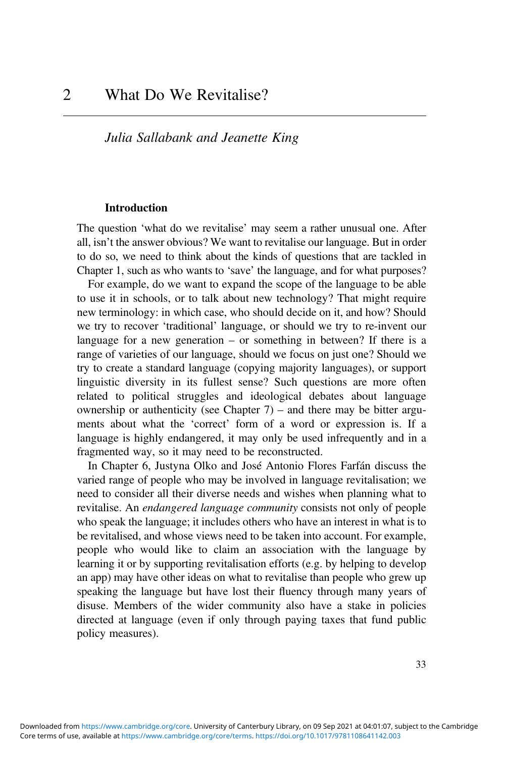# *Julia Sallabank and Jeanette King*

#### **Introduction**

The question 'what do we revitalise' may seem a rather unusual one. After all, isn't the answer obvious? We want to revitalise our language. But in order to do so, we need to think about the kinds of questions that are tackled in Chapter 1, such as who wants to 'save' the language, and for what purposes?

For example, do we want to expand the scope of the language to be able to use it in schools, or to talk about new technology? That might require new terminology: in which case, who should decide on it, and how? Should we try to recover 'traditional' language, or should we try to re-invent our language for a new generation – or something in between? If there is a range of varieties of our language, should we focus on just one? Should we try to create a standard language (copying majority languages), or support linguistic diversity in its fullest sense? Such questions are more often related to political struggles and ideological debates about language ownership or authenticity (see Chapter  $7$ ) – and there may be bitter arguments about what the 'correct' form of a word or expression is. If a language is highly endangered, it may only be used infrequently and in a fragmented way, so it may need to be reconstructed.

In Chapter 6, Justyna Olko and José Antonio Flores Farfán discuss the varied range of people who may be involved in language revitalisation; we need to consider all their diverse needs and wishes when planning what to revitalise. An *endangered language community* consists not only of people who speak the language; it includes others who have an interest in what is to be revitalised, and whose views need to be taken into account. For example, people who would like to claim an association with the language by learning it or by supporting revitalisation efforts (e.g. by helping to develop an app) may have other ideas on what to revitalise than people who grew up speaking the language but have lost their fluency through many years of disuse. Members of the wider community also have a stake in policies directed at language (even if only through paying taxes that fund public policy measures).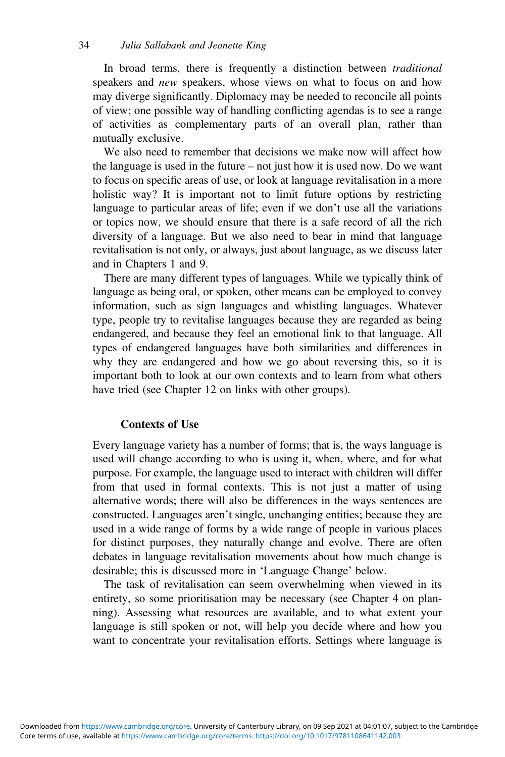In broad terms, there is frequently a distinction between *traditional* speakers and *new* speakers, whose views on what to focus on and how may diverge significantly. Diplomacy may be needed to reconcile all points of view; one possible way of handling conflicting agendas is to see a range of activities as complementary parts of an overall plan, rather than mutually exclusive.

We also need to remember that decisions we make now will affect how the language is used in the future – not just how it is used now. Do we want to focus on specific areas of use, or look at language revitalisation in a more holistic way? It is important not to limit future options by restricting language to particular areas of life; even if we don't use all the variations or topics now, we should ensure that there is a safe record of all the rich diversity of a language. But we also need to bear in mind that language revitalisation is not only, or always, just about language, as we discuss later and in Chapters 1 and 9.

There are many different types of languages. While we typically think of language as being oral, or spoken, other means can be employed to convey information, such as sign languages and whistling languages. Whatever type, people try to revitalise languages because they are regarded as being endangered, and because they feel an emotional link to that language. All types of endangered languages have both similarities and differences in why they are endangered and how we go about reversing this, so it is important both to look at our own contexts and to learn from what others have tried (see Chapter 12 on links with other groups).

## **Contexts of Use**

Every language variety has a number of forms; that is, the ways language is used will change according to who is using it, when, where, and for what purpose. For example, the language used to interact with children will differ from that used in formal contexts. This is not just a matter of using alternative words; there will also be differences in the ways sentences are constructed. Languages aren't single, unchanging entities; because they are used in a wide range of forms by a wide range of people in various places for distinct purposes, they naturally change and evolve. There are often debates in language revitalisation movements about how much change is desirable; this is discussed more in 'Language Change' below.

The task of revitalisation can seem overwhelming when viewed in its entirety, so some prioritisation may be necessary (see Chapter 4 on planning). Assessing what resources are available, and to what extent your language is still spoken or not, will help you decide where and how you want to concentrate your revitalisation efforts. Settings where language is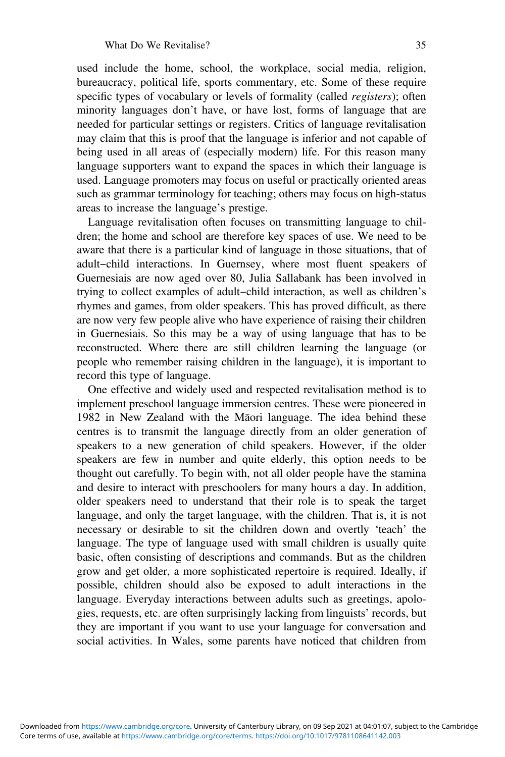used include the home, school, the workplace, social media, religion, bureaucracy, political life, sports commentary, etc. Some of these require specific types of vocabulary or levels of formality (called *registers*); often minority languages don't have, or have lost, forms of language that are needed for particular settings or registers. Critics of language revitalisation may claim that this is proof that the language is inferior and not capable of being used in all areas of (especially modern) life. For this reason many language supporters want to expand the spaces in which their language is used. Language promoters may focus on useful or practically oriented areas such as grammar terminology for teaching; others may focus on high-status areas to increase the language's prestige.

Language revitalisation often focuses on transmitting language to children; the home and school are therefore key spaces of use. We need to be aware that there is a particular kind of language in those situations, that of adult-child interactions. In Guernsey, where most fluent speakers of Guernesiais are now aged over 80, Julia Sallabank has been involved in trying to collect examples of adult-child interaction, as well as children's rhymes and games, from older speakers. This has proved difficult, as there are now very few people alive who have experience of raising their children in Guernesiais. So this may be a way of using language that has to be reconstructed. Where there are still children learning the language (or people who remember raising children in the language), it is important to record this type of language.

One effective and widely used and respected revitalisation method is to implement preschool language immersion centres. These were pioneered in 1982 in New Zealand with the Māori language. The idea behind these centres is to transmit the language directly from an older generation of speakers to a new generation of child speakers. However, if the older speakers are few in number and quite elderly, this option needs to be thought out carefully. To begin with, not all older people have the stamina and desire to interact with preschoolers for many hours a day. In addition, older speakers need to understand that their role is to speak the target language, and only the target language, with the children. That is, it is not necessary or desirable to sit the children down and overtly 'teach' the language. The type of language used with small children is usually quite basic, often consisting of descriptions and commands. But as the children grow and get older, a more sophisticated repertoire is required. Ideally, if possible, children should also be exposed to adult interactions in the language. Everyday interactions between adults such as greetings, apologies, requests, etc. are often surprisingly lacking from linguists' records, but they are important if you want to use your language for conversation and social activities. In Wales, some parents have noticed that children from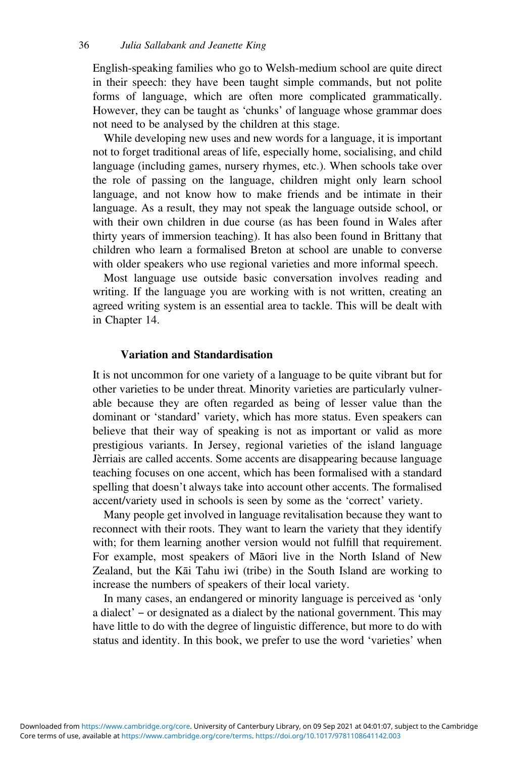English-speaking families who go to Welsh-medium school are quite direct in their speech: they have been taught simple commands, but not polite forms of language, which are often more complicated grammatically. However, they can be taught as 'chunks' of language whose grammar does not need to be analysed by the children at this stage.

While developing new uses and new words for a language, it is important not to forget traditional areas of life, especially home, socialising, and child language (including games, nursery rhymes, etc.). When schools take over the role of passing on the language, children might only learn school language, and not know how to make friends and be intimate in their language. As a result, they may not speak the language outside school, or with their own children in due course (as has been found in Wales after thirty years of immersion teaching). It has also been found in Brittany that children who learn a formalised Breton at school are unable to converse with older speakers who use regional varieties and more informal speech.

Most language use outside basic conversation involves reading and writing. If the language you are working with is not written, creating an agreed writing system is an essential area to tackle. This will be dealt with in Chapter 14.

### **Variation and Standardisation**

It is not uncommon for one variety of a language to be quite vibrant but for other varieties to be under threat. Minority varieties are particularly vulnerable because they are often regarded as being of lesser value than the dominant or 'standard' variety, which has more status. Even speakers can believe that their way of speaking is not as important or valid as more prestigious variants. In Jersey, regional varieties of the island language Jèrriais are called accents. Some accents are disappearing because language teaching focuses on one accent, which has been formalised with a standard spelling that doesn't always take into account other accents. The formalised accent/variety used in schools is seen by some as the 'correct' variety.

Many people get involved in language revitalisation because they want to reconnect with their roots. They want to learn the variety that they identify with; for them learning another version would not fulfill that requirement. For example, most speakers of Māori live in the North Island of New Zealand, but the Kāi Tahu iwi (tribe) in the South Island are working to increase the numbers of speakers of their local variety.

In many cases, an endangered or minority language is perceived as 'only a dialect' – or designated as a dialect by the national government. This may have little to do with the degree of linguistic difference, but more to do with status and identity. In this book, we prefer to use the word 'varieties' when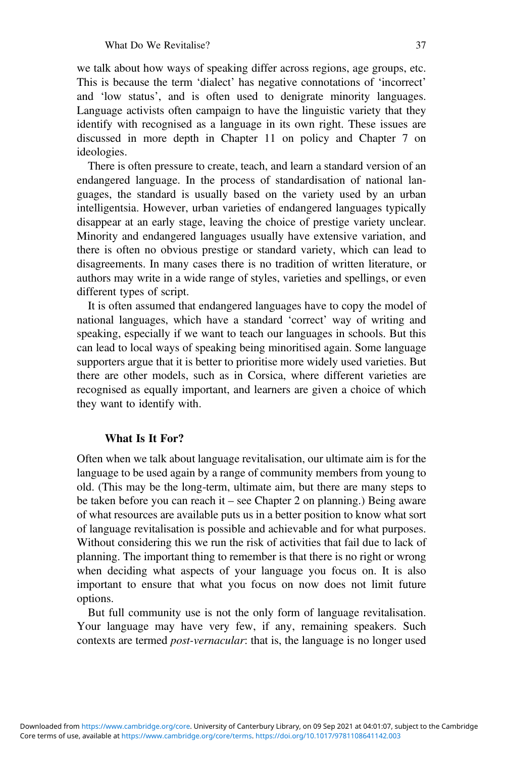we talk about how ways of speaking differ across regions, age groups, etc. This is because the term 'dialect' has negative connotations of 'incorrect' and 'low status', and is often used to denigrate minority languages. Language activists often campaign to have the linguistic variety that they identify with recognised as a language in its own right. These issues are discussed in more depth in Chapter 11 on policy and Chapter 7 on ideologies.

There is often pressure to create, teach, and learn a standard version of an endangered language. In the process of standardisation of national languages, the standard is usually based on the variety used by an urban intelligentsia. However, urban varieties of endangered languages typically disappear at an early stage, leaving the choice of prestige variety unclear. Minority and endangered languages usually have extensive variation, and there is often no obvious prestige or standard variety, which can lead to disagreements. In many cases there is no tradition of written literature, or authors may write in a wide range of styles, varieties and spellings, or even different types of script.

It is often assumed that endangered languages have to copy the model of national languages, which have a standard 'correct' way of writing and speaking, especially if we want to teach our languages in schools. But this can lead to local ways of speaking being minoritised again. Some language supporters argue that it is better to prioritise more widely used varieties. But there are other models, such as in Corsica, where different varieties are recognised as equally important, and learners are given a choice of which they want to identify with.

## **What Is It For?**

Often when we talk about language revitalisation, our ultimate aim is for the language to be used again by a range of community members from young to old. (This may be the long-term, ultimate aim, but there are many steps to be taken before you can reach it – see Chapter 2 on planning.) Being aware of what resources are available puts us in a better position to know what sort of language revitalisation is possible and achievable and for what purposes. Without considering this we run the risk of activities that fail due to lack of planning. The important thing to remember is that there is no right or wrong when deciding what aspects of your language you focus on. It is also important to ensure that what you focus on now does not limit future options.

But full community use is not the only form of language revitalisation. Your language may have very few, if any, remaining speakers. Such contexts are termed *post-vernacular*: that is, the language is no longer used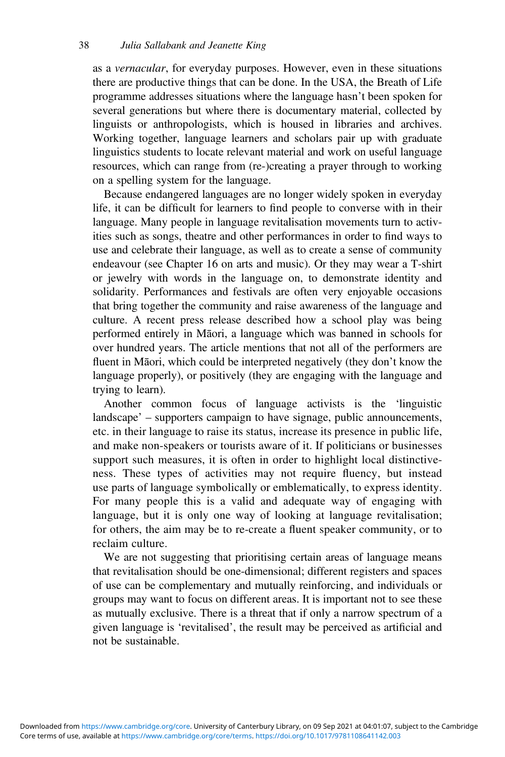as a *vernacular*, for everyday purposes. However, even in these situations there are productive things that can be done. In the USA, the Breath of Life programme addresses situations where the language hasn't been spoken for several generations but where there is documentary material, collected by linguists or anthropologists, which is housed in libraries and archives. Working together, language learners and scholars pair up with graduate linguistics students to locate relevant material and work on useful language resources, which can range from (re-)creating a prayer through to working on a spelling system for the language.

Because endangered languages are no longer widely spoken in everyday life, it can be difficult for learners to find people to converse with in their language. Many people in language revitalisation movements turn to activities such as songs, theatre and other performances in order to find ways to use and celebrate their language, as well as to create a sense of community endeavour (see Chapter 16 on arts and music). Or they may wear a T-shirt or jewelry with words in the language on, to demonstrate identity and solidarity. Performances and festivals are often very enjoyable occasions that bring together the community and raise awareness of the language and culture. A recent press release described how a school play was being performed entirely in Māori, a language which was banned in schools for over hundred years. The article mentions that not all of the performers are fluent in Māori, which could be interpreted negatively (they don't know the language properly), or positively (they are engaging with the language and trying to learn).

Another common focus of language activists is the 'linguistic landscape' – supporters campaign to have signage, public announcements, etc. in their language to raise its status, increase its presence in public life, and make non-speakers or tourists aware of it. If politicians or businesses support such measures, it is often in order to highlight local distinctiveness. These types of activities may not require fluency, but instead use parts of language symbolically or emblematically, to express identity. For many people this is a valid and adequate way of engaging with language, but it is only one way of looking at language revitalisation; for others, the aim may be to re-create a fluent speaker community, or to reclaim culture.

We are not suggesting that prioritising certain areas of language means that revitalisation should be one-dimensional; different registers and spaces of use can be complementary and mutually reinforcing, and individuals or groups may want to focus on different areas. It is important not to see these as mutually exclusive. There is a threat that if only a narrow spectrum of a given language is 'revitalised', the result may be perceived as artificial and not be sustainable.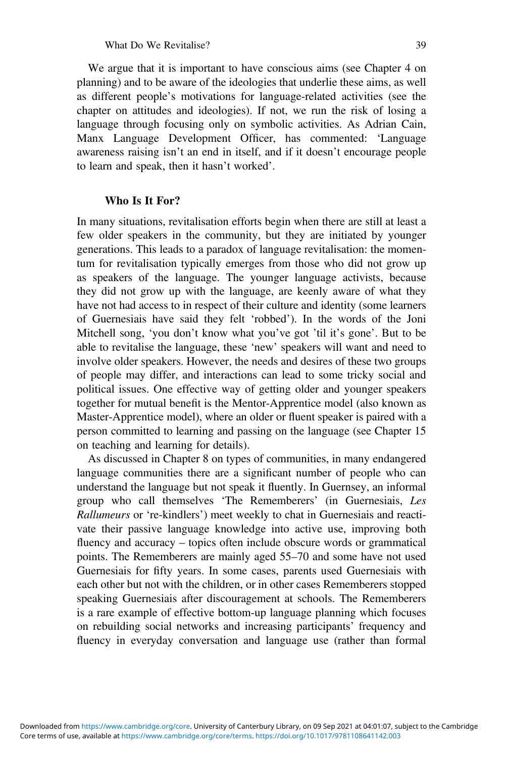We argue that it is important to have conscious aims (see Chapter 4 on planning) and to be aware of the ideologies that underlie these aims, as well as different people's motivations for language-related activities (see the chapter on attitudes and ideologies). If not, we run the risk of losing a language through focusing only on symbolic activities. As Adrian Cain, Manx Language Development Officer, has commented: 'Language awareness raising isn't an end in itself, and if it doesn't encourage people to learn and speak, then it hasn't worked'.

#### **Who Is It For?**

In many situations, revitalisation efforts begin when there are still at least a few older speakers in the community, but they are initiated by younger generations. This leads to a paradox of language revitalisation: the momentum for revitalisation typically emerges from those who did not grow up as speakers of the language. The younger language activists, because they did not grow up with the language, are keenly aware of what they have not had access to in respect of their culture and identity (some learners of Guernesiais have said they felt 'robbed'). In the words of the Joni Mitchell song, 'you don't know what you've got 'til it's gone'. But to be able to revitalise the language, these 'new' speakers will want and need to involve older speakers. However, the needs and desires of these two groups of people may differ, and interactions can lead to some tricky social and political issues. One effective way of getting older and younger speakers together for mutual benefit is the Mentor-Apprentice model (also known as Master-Apprentice model), where an older or fluent speaker is paired with a person committed to learning and passing on the language (see Chapter 15 on teaching and learning for details).

As discussed in Chapter 8 on types of communities, in many endangered language communities there are a significant number of people who can understand the language but not speak it fluently. In Guernsey, an informal group who call themselves 'The Rememberers' (in Guernesiais, *Les Rallumeurs* or 're-kindlers') meet weekly to chat in Guernesiais and reactivate their passive language knowledge into active use, improving both fluency and accuracy – topics often include obscure words or grammatical points. The Rememberers are mainly aged 55–70 and some have not used Guernesiais for fifty years. In some cases, parents used Guernesiais with each other but not with the children, or in other cases Rememberers stopped speaking Guernesiais after discouragement at schools. The Rememberers is a rare example of effective bottom-up language planning which focuses on rebuilding social networks and increasing participants' frequency and fluency in everyday conversation and language use (rather than formal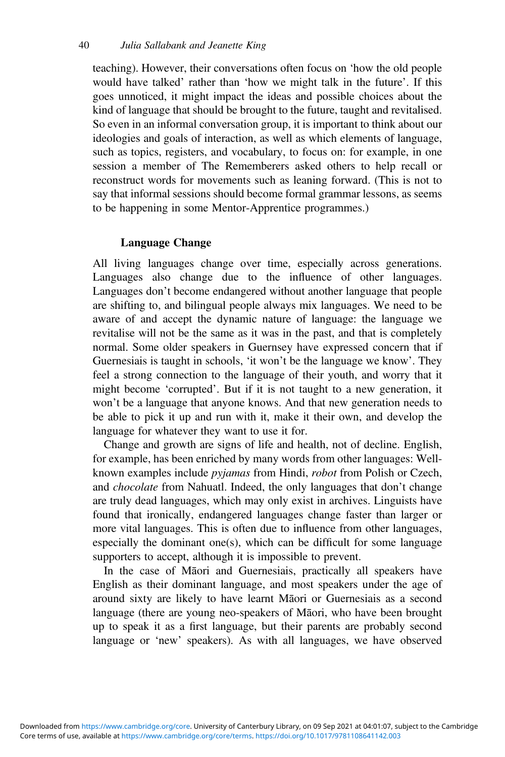teaching). However, their conversations often focus on 'how the old people would have talked' rather than 'how we might talk in the future'. If this goes unnoticed, it might impact the ideas and possible choices about the kind of language that should be brought to the future, taught and revitalised. So even in an informal conversation group, it is important to think about our ideologies and goals of interaction, as well as which elements of language, such as topics, registers, and vocabulary, to focus on: for example, in one session a member of The Rememberers asked others to help recall or reconstruct words for movements such as leaning forward. (This is not to say that informal sessions should become formal grammar lessons, as seems to be happening in some Mentor-Apprentice programmes.)

# **Language Change**

All living languages change over time, especially across generations. Languages also change due to the influence of other languages. Languages don't become endangered without another language that people are shifting to, and bilingual people always mix languages. We need to be aware of and accept the dynamic nature of language: the language we revitalise will not be the same as it was in the past, and that is completely normal. Some older speakers in Guernsey have expressed concern that if Guernesiais is taught in schools, 'it won't be the language we know'. They feel a strong connection to the language of their youth, and worry that it might become 'corrupted'. But if it is not taught to a new generation, it won't be a language that anyone knows. And that new generation needs to be able to pick it up and run with it, make it their own, and develop the language for whatever they want to use it for.

Change and growth are signs of life and health, not of decline. English, for example, has been enriched by many words from other languages: Wellknown examples include *pyjamas* from Hindi, *robot* from Polish or Czech, and *chocolate* from Nahuatl. Indeed, the only languages that don't change are truly dead languages, which may only exist in archives. Linguists have found that ironically, endangered languages change faster than larger or more vital languages. This is often due to influence from other languages, especially the dominant one(s), which can be difficult for some language supporters to accept, although it is impossible to prevent.

In the case of Māori and Guernesiais, practically all speakers have English as their dominant language, and most speakers under the age of around sixty are likely to have learnt Māori or Guernesiais as a second language (there are young neo-speakers of Māori, who have been brought up to speak it as a first language, but their parents are probably second language or 'new' speakers). As with all languages, we have observed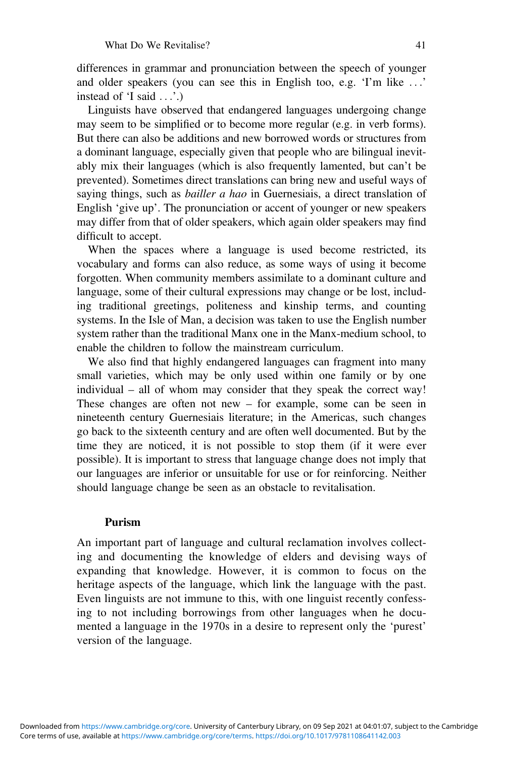differences in grammar and pronunciation between the speech of younger and older speakers (you can see this in English too, e.g. 'I'm like ...' instead of 'I said ...'.)

Linguists have observed that endangered languages undergoing change may seem to be simplified or to become more regular (e.g. in verb forms). But there can also be additions and new borrowed words or structures from a dominant language, especially given that people who are bilingual inevitably mix their languages (which is also frequently lamented, but can't be prevented). Sometimes direct translations can bring new and useful ways of saying things, such as *bailler a hao* in Guernesiais, a direct translation of English 'give up'. The pronunciation or accent of younger or new speakers may differ from that of older speakers, which again older speakers may find difficult to accept.

When the spaces where a language is used become restricted, its vocabulary and forms can also reduce, as some ways of using it become forgotten. When community members assimilate to a dominant culture and language, some of their cultural expressions may change or be lost, including traditional greetings, politeness and kinship terms, and counting systems. In the Isle of Man, a decision was taken to use the English number system rather than the traditional Manx one in the Manx-medium school, to enable the children to follow the mainstream curriculum.

We also find that highly endangered languages can fragment into many small varieties, which may be only used within one family or by one individual – all of whom may consider that they speak the correct way! These changes are often not new – for example, some can be seen in nineteenth century Guernesiais literature; in the Americas, such changes go back to the sixteenth century and are often well documented. But by the time they are noticed, it is not possible to stop them (if it were ever possible). It is important to stress that language change does not imply that our languages are inferior or unsuitable for use or for reinforcing. Neither should language change be seen as an obstacle to revitalisation.

#### **Purism**

An important part of language and cultural reclamation involves collecting and documenting the knowledge of elders and devising ways of expanding that knowledge. However, it is common to focus on the heritage aspects of the language, which link the language with the past. Even linguists are not immune to this, with one linguist recently confessing to not including borrowings from other languages when he documented a language in the 1970s in a desire to represent only the 'purest' version of the language.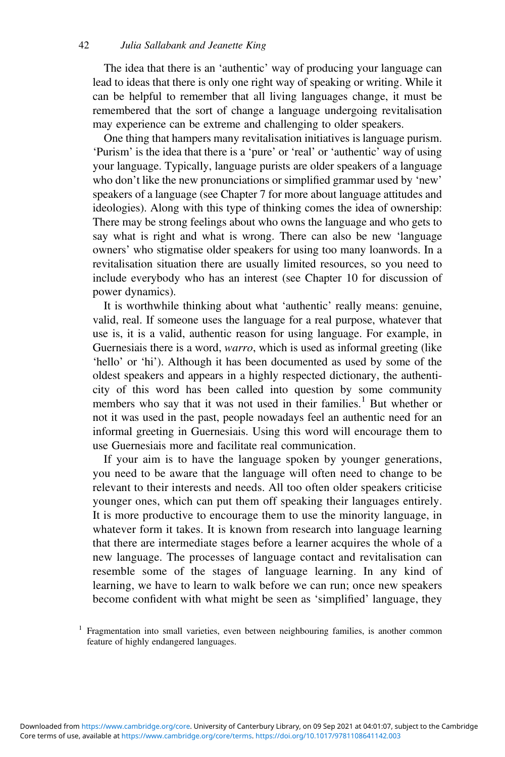The idea that there is an 'authentic' way of producing your language can lead to ideas that there is only one right way of speaking or writing. While it can be helpful to remember that all living languages change, it must be remembered that the sort of change a language undergoing revitalisation may experience can be extreme and challenging to older speakers.

One thing that hampers many revitalisation initiatives is language purism. 'Purism' is the idea that there is a 'pure' or 'real' or 'authentic' way of using your language. Typically, language purists are older speakers of a language who don't like the new pronunciations or simplified grammar used by 'new' speakers of a language (see Chapter 7 for more about language attitudes and ideologies). Along with this type of thinking comes the idea of ownership: There may be strong feelings about who owns the language and who gets to say what is right and what is wrong. There can also be new 'language owners' who stigmatise older speakers for using too many loanwords. In a revitalisation situation there are usually limited resources, so you need to include everybody who has an interest (see Chapter 10 for discussion of power dynamics).

It is worthwhile thinking about what 'authentic' really means: genuine, valid, real. If someone uses the language for a real purpose, whatever that use is, it is a valid, authentic reason for using language. For example, in Guernesiais there is a word, *warro*, which is used as informal greeting (like 'hello' or 'hi'). Although it has been documented as used by some of the oldest speakers and appears in a highly respected dictionary, the authenticity of this word has been called into question by some community members who say that it was not used in their families.<sup>1</sup> But whether or not it was used in the past, people nowadays feel an authentic need for an informal greeting in Guernesiais. Using this word will encourage them to use Guernesiais more and facilitate real communication.

If your aim is to have the language spoken by younger generations, you need to be aware that the language will often need to change to be relevant to their interests and needs. All too often older speakers criticise younger ones, which can put them off speaking their languages entirely. It is more productive to encourage them to use the minority language, in whatever form it takes. It is known from research into language learning that there are intermediate stages before a learner acquires the whole of a new language. The processes of language contact and revitalisation can resemble some of the stages of language learning. In any kind of learning, we have to learn to walk before we can run; once new speakers become confident with what might be seen as 'simplified' language, they

<sup>1</sup> Fragmentation into small varieties, even between neighbouring families, is another common feature of highly endangered languages.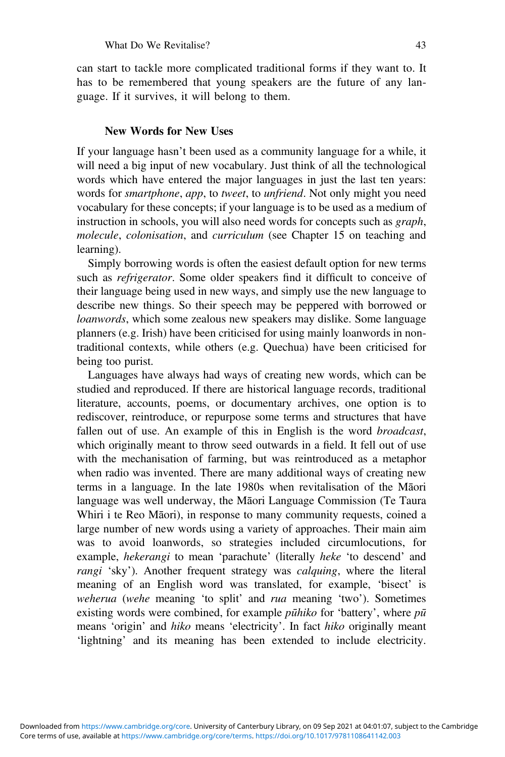can start to tackle more complicated traditional forms if they want to. It has to be remembered that young speakers are the future of any language. If it survives, it will belong to them.

#### **New Words for New Uses**

If your language hasn't been used as a community language for a while, it will need a big input of new vocabulary. Just think of all the technological words which have entered the major languages in just the last ten years: words for *smartphone*, *app*, to *tweet*, to *unfriend*. Not only might you need vocabulary for these concepts; if your language is to be used as a medium of instruction in schools, you will also need words for concepts such as *graph*, *molecule*, *colonisation*, and *curriculum* (see Chapter 15 on teaching and learning).

Simply borrowing words is often the easiest default option for new terms such as *refrigerator*. Some older speakers find it difficult to conceive of their language being used in new ways, and simply use the new language to describe new things. So their speech may be peppered with borrowed or *loanwords*, which some zealous new speakers may dislike. Some language planners (e.g. Irish) have been criticised for using mainly loanwords in nontraditional contexts, while others (e.g. Quechua) have been criticised for being too purist.

Languages have always had ways of creating new words, which can be studied and reproduced. If there are historical language records, traditional literature, accounts, poems, or documentary archives, one option is to rediscover, reintroduce, or repurpose some terms and structures that have fallen out of use. An example of this in English is the word *broadcast*, which originally meant to throw seed outwards in a field. It fell out of use with the mechanisation of farming, but was reintroduced as a metaphor when radio was invented. There are many additional ways of creating new terms in a language. In the late 1980s when revitalisation of the Māori language was well underway, the Māori Language Commission (Te Taura Whiri i te Reo Māori), in response to many community requests, coined a large number of new words using a variety of approaches. Their main aim was to avoid loanwords, so strategies included circumlocutions, for example, *hekerangi* to mean 'parachute' (literally *heke* 'to descend' and *rangi* 'sky'). Another frequent strategy was *calquing*, where the literal meaning of an English word was translated, for example, 'bisect' is *weherua* (*wehe* meaning 'to split' and *rua* meaning 'two'). Sometimes existing words were combined, for example *pūhiko* for 'battery', where *pū* means 'origin' and *hiko* means 'electricity'. In fact *hiko* originally meant 'lightning' and its meaning has been extended to include electricity.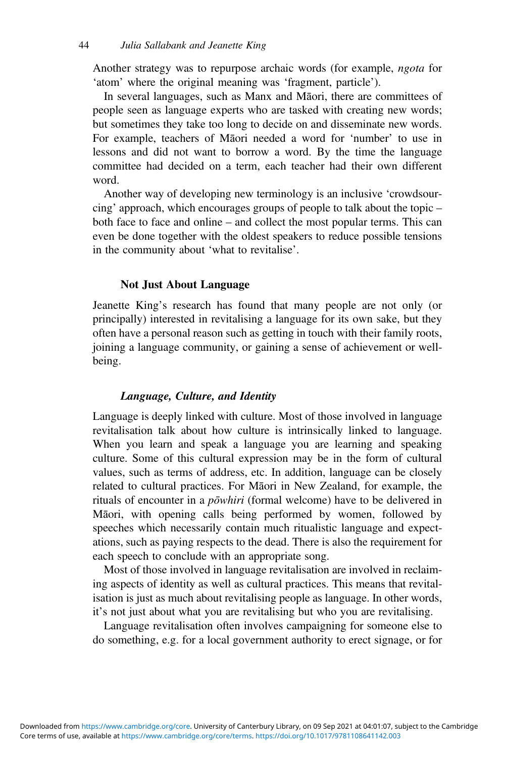Another strategy was to repurpose archaic words (for example, *ngota* for 'atom' where the original meaning was 'fragment, particle').

In several languages, such as Manx and Māori, there are committees of people seen as language experts who are tasked with creating new words; but sometimes they take too long to decide on and disseminate new words. For example, teachers of Māori needed a word for 'number' to use in lessons and did not want to borrow a word. By the time the language committee had decided on a term, each teacher had their own different word.

Another way of developing new terminology is an inclusive 'crowdsourcing' approach, which encourages groups of people to talk about the topic – both face to face and online – and collect the most popular terms. This can even be done together with the oldest speakers to reduce possible tensions in the community about 'what to revitalise'.

#### **Not Just About Language**

Jeanette King's research has found that many people are not only (or principally) interested in revitalising a language for its own sake, but they often have a personal reason such as getting in touch with their family roots, joining a language community, or gaining a sense of achievement or wellbeing.

#### *Language, Culture, and Identity*

Language is deeply linked with culture. Most of those involved in language revitalisation talk about how culture is intrinsically linked to language. When you learn and speak a language you are learning and speaking culture. Some of this cultural expression may be in the form of cultural values, such as terms of address, etc. In addition, language can be closely related to cultural practices. For Māori in New Zealand, for example, the rituals of encounter in a *pōwhiri* (formal welcome) have to be delivered in Māori, with opening calls being performed by women, followed by speeches which necessarily contain much ritualistic language and expectations, such as paying respects to the dead. There is also the requirement for each speech to conclude with an appropriate song.

Most of those involved in language revitalisation are involved in reclaiming aspects of identity as well as cultural practices. This means that revitalisation is just as much about revitalising people as language. In other words, it's not just about what you are revitalising but who you are revitalising.

Language revitalisation often involves campaigning for someone else to do something, e.g. for a local government authority to erect signage, or for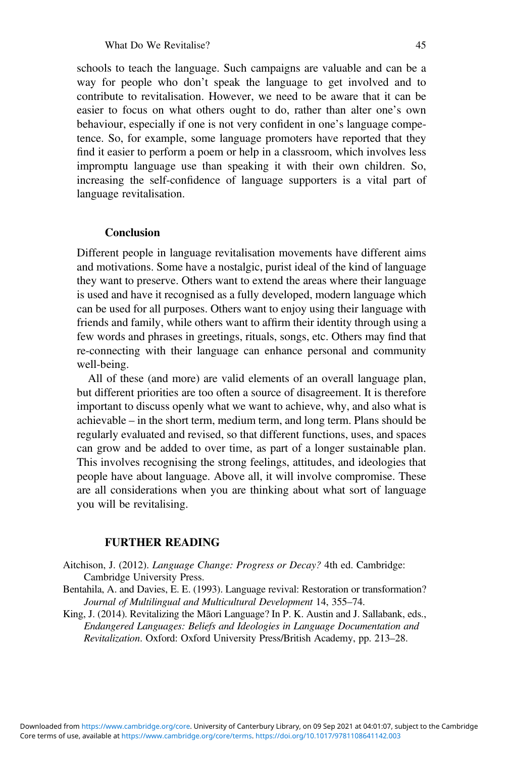schools to teach the language. Such campaigns are valuable and can be a way for people who don't speak the language to get involved and to contribute to revitalisation. However, we need to be aware that it can be easier to focus on what others ought to do, rather than alter one's own behaviour, especially if one is not very confident in one's language competence. So, for example, some language promoters have reported that they find it easier to perform a poem or help in a classroom, which involves less impromptu language use than speaking it with their own children. So, increasing the self-confidence of language supporters is a vital part of language revitalisation.

#### **Conclusion**

Different people in language revitalisation movements have different aims and motivations. Some have a nostalgic, purist ideal of the kind of language they want to preserve. Others want to extend the areas where their language is used and have it recognised as a fully developed, modern language which can be used for all purposes. Others want to enjoy using their language with friends and family, while others want to affirm their identity through using a few words and phrases in greetings, rituals, songs, etc. Others may find that re-connecting with their language can enhance personal and community well-being.

All of these (and more) are valid elements of an overall language plan, but different priorities are too often a source of disagreement. It is therefore important to discuss openly what we want to achieve, why, and also what is achievable – in the short term, medium term, and long term. Plans should be regularly evaluated and revised, so that different functions, uses, and spaces can grow and be added to over time, as part of a longer sustainable plan. This involves recognising the strong feelings, attitudes, and ideologies that people have about language. Above all, it will involve compromise. These are all considerations when you are thinking about what sort of language you will be revitalising.

## **FURTHER READING**

- Aitchison, J. (2012). *Language Change: Progress or Decay?* 4th ed. Cambridge: Cambridge University Press.
- Bentahila, A. and Davies, E. E. (1993). Language revival: Restoration or transformation? *Journal of Multilingual and Multicultural Development* 14, 355–74.
- King, J. (2014). Revitalizing the Māori Language? In P. K. Austin and J. Sallabank, eds., *Endangered Languages: Beliefs and Ideologies in Language Documentation and Revitalization*. Oxford: Oxford University Press/British Academy, pp. 213–28.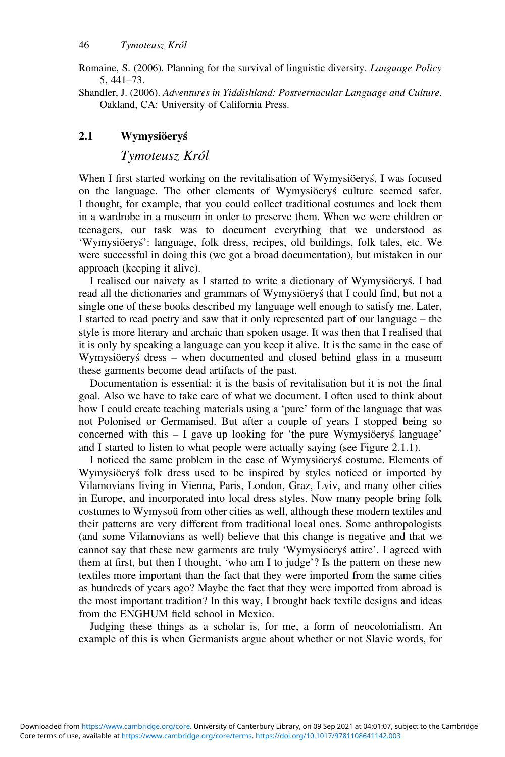Romaine, S. (2006). Planning for the survival of linguistic diversity. *Language Policy* 5, 441–73.

Shandler, J. (2006). *Adventures in Yiddishland: Postvernacular Language and Culture*. Oakland, CA: University of California Press.

## **2.1 Wymysiöery´s**

*Tymoteusz Król*

When I first started working on the revitalisation of Wymysiöerys, I was focused on the language. The other elements of Wymysiöery's culture seemed safer. I thought, for example, that you could collect traditional costumes and lock them in a wardrobe in a museum in order to preserve them. When we were children or teenagers, our task was to document everything that we understood as 'Wymysiöerys': language, folk dress, recipes, old buildings, folk tales, etc. We were successful in doing this (we got a broad documentation), but mistaken in our approach (keeping it alive).

I realised our naivety as I started to write a dictionary of Wymysiöery's. I had read all the dictionaries and grammars of Wymysiöery's that I could find, but not a single one of these books described my language well enough to satisfy me. Later, I started to read poetry and saw that it only represented part of our language – the style is more literary and archaic than spoken usage. It was then that I realised that it is only by speaking a language can you keep it alive. It is the same in the case of Wymysiöeryś dress - when documented and closed behind glass in a museum these garments become dead artifacts of the past.

Documentation is essential: it is the basis of revitalisation but it is not the final goal. Also we have to take care of what we document. I often used to think about how I could create teaching materials using a 'pure' form of the language that was not Polonised or Germanised. But after a couple of years I stopped being so concerned with this  $- I$  gave up looking for 'the pure Wymysiöery's language' and I started to listen to what people were actually saying (see Figure 2.1.1).

I noticed the same problem in the case of Wymysiöery's costume. Elements of Wymysiöery's folk dress used to be inspired by styles noticed or imported by Vilamovians living in Vienna, Paris, London, Graz, Lviv, and many other cities in Europe, and incorporated into local dress styles. Now many people bring folk costumes to Wymysoü from other cities as well, although these modern textiles and their patterns are very different from traditional local ones. Some anthropologists (and some Vilamovians as well) believe that this change is negative and that we cannot say that these new garments are truly 'Wymysiöery's attire'. I agreed with them at first, but then I thought, 'who am I to judge'? Is the pattern on these new textiles more important than the fact that they were imported from the same cities as hundreds of years ago? Maybe the fact that they were imported from abroad is the most important tradition? In this way, I brought back textile designs and ideas from the ENGHUM field school in Mexico.

Judging these things as a scholar is, for me, a form of neocolonialism. An example of this is when Germanists argue about whether or not Slavic words, for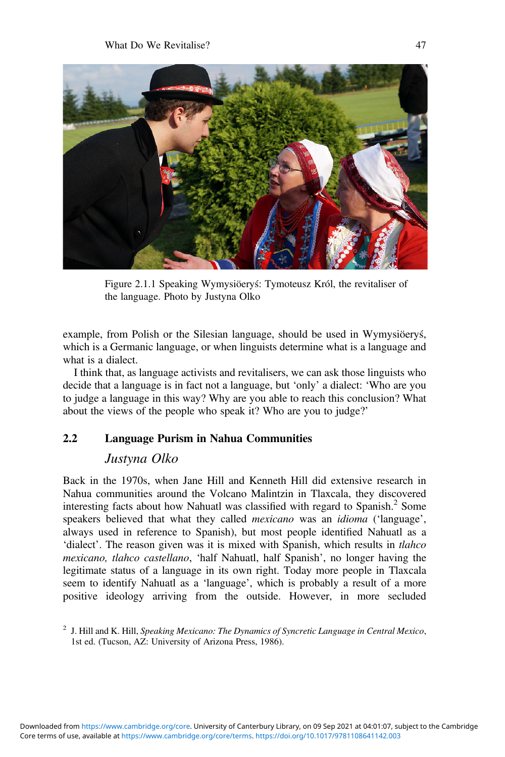

Figure 2.1.1 Speaking Wymysiöery's: Tymoteusz Król, the revitaliser of the language. Photo by Justyna Olko

example, from Polish or the Silesian language, should be used in Wymysiöery's, which is a Germanic language, or when linguists determine what is a language and what is a dialect.

I think that, as language activists and revitalisers, we can ask those linguists who decide that a language is in fact not a language, but 'only' a dialect: 'Who are you to judge a language in this way? Why are you able to reach this conclusion? What about the views of the people who speak it? Who are you to judge?'

# **2.2 Language Purism in Nahua Communities**

## *Justyna Olko*

Back in the 1970s, when Jane Hill and Kenneth Hill did extensive research in Nahua communities around the Volcano Malintzin in Tlaxcala, they discovered interesting facts about how Nahuatl was classified with regard to Spanish.<sup>2</sup> Some speakers believed that what they called *mexicano* was an *idioma* ('language', always used in reference to Spanish), but most people identified Nahuatl as a 'dialect'. The reason given was it is mixed with Spanish, which results in *tlahco mexicano, tlahco castellano*, 'half Nahuatl, half Spanish', no longer having the legitimate status of a language in its own right. Today more people in Tlaxcala seem to identify Nahuatl as a 'language', which is probably a result of a more positive ideology arriving from the outside. However, in more secluded

<sup>2</sup> J. Hill and K. Hill, *Speaking Mexicano: The Dynamics of Syncretic Language in Central Mexico*, 1st ed. (Tucson, AZ: University of Arizona Press, 1986).